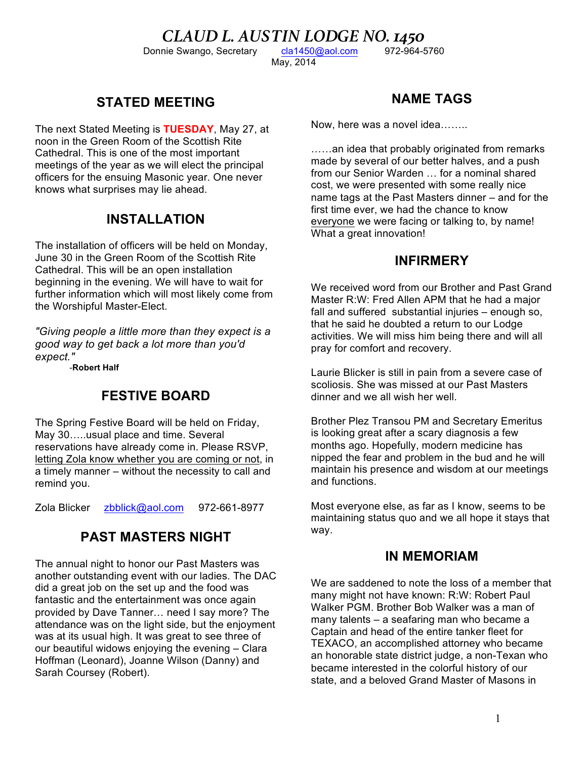CLAUD L. AUSTIN LODGE NO. 1450<br>
IN 1898 12-964-5760<br>
Recretary Cla1450@aol.com<br>
1972-964-5760

Donnie Swango, Secretary

May, 2014

# **STATED MEETING**

The next Stated Meeting is **TUESDAY**, May 27, at noon in the Green Room of the Scottish Rite Cathedral. This is one of the most important meetings of the year as we will elect the principal officers for the ensuing Masonic year. One never knows what surprises may lie ahead.

## **INSTALLATION**

The installation of officers will be held on Monday, June 30 in the Green Room of the Scottish Rite Cathedral. This will be an open installation beginning in the evening. We will have to wait for further information which will most likely come from the Worshipful Master-Elect.

*"Giving people a little more than they expect is a good way to get back a lot more than you'd expect."*

-**Robert Half**

#### **FESTIVE BOARD**

The Spring Festive Board will be held on Friday, May 30…..usual place and time. Several reservations have already come in. Please RSVP, letting Zola know whether you are coming or not, in a timely manner – without the necessity to call and remind you.

Zola Blicker zbblick@aol.com 972-661-8977

## **PAST MASTERS NIGHT**

The annual night to honor our Past Masters was another outstanding event with our ladies. The DAC did a great job on the set up and the food was fantastic and the entertainment was once again provided by Dave Tanner… need I say more? The attendance was on the light side, but the enjoyment was at its usual high. It was great to see three of our beautiful widows enjoying the evening – Clara Hoffman (Leonard), Joanne Wilson (Danny) and Sarah Coursey (Robert).

# **NAME TAGS**

Now, here was a novel idea……..

……an idea that probably originated from remarks made by several of our better halves, and a push from our Senior Warden … for a nominal shared cost, we were presented with some really nice name tags at the Past Masters dinner – and for the first time ever, we had the chance to know everyone we were facing or talking to, by name! What a great innovation!

#### **INFIRMERY**

We received word from our Brother and Past Grand Master R:W: Fred Allen APM that he had a major fall and suffered substantial injuries – enough so, that he said he doubted a return to our Lodge activities. We will miss him being there and will all pray for comfort and recovery.

Laurie Blicker is still in pain from a severe case of scoliosis. She was missed at our Past Masters dinner and we all wish her well.

Brother Plez Transou PM and Secretary Emeritus is looking great after a scary diagnosis a few months ago. Hopefully, modern medicine has nipped the fear and problem in the bud and he will maintain his presence and wisdom at our meetings and functions.

Most everyone else, as far as I know, seems to be maintaining status quo and we all hope it stays that way.

#### **IN MEMORIAM**

We are saddened to note the loss of a member that many might not have known: R:W: Robert Paul Walker PGM. Brother Bob Walker was a man of many talents – a seafaring man who became a Captain and head of the entire tanker fleet for TEXACO, an accomplished attorney who became an honorable state district judge, a non-Texan who became interested in the colorful history of our state, and a beloved Grand Master of Masons in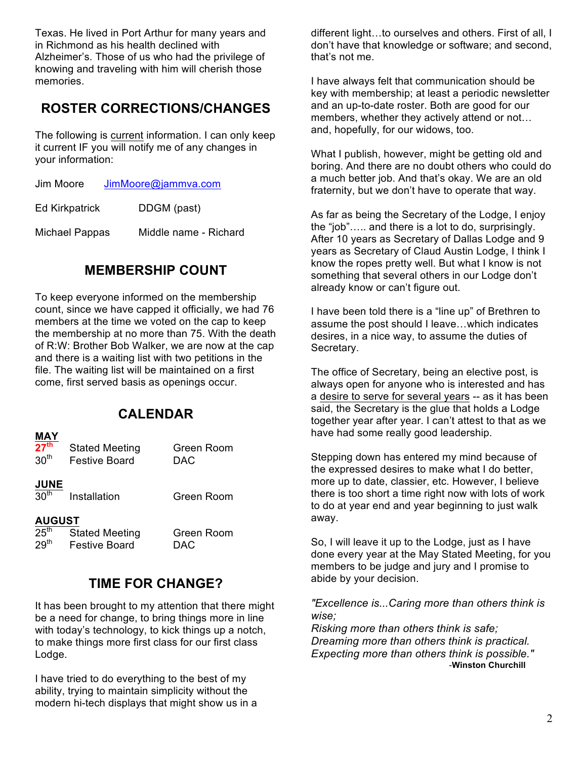Texas. He lived in Port Arthur for many years and in Richmond as his health declined with Alzheimer's. Those of us who had the privilege of knowing and traveling with him will cherish those memories.

# **ROSTER CORRECTIONS/CHANGES**

The following is current information. I can only keep it current IF you will notify me of any changes in your information:

Ed Kirkpatrick DDGM (past)

Michael Pappas Middle name - Richard

#### **MEMBERSHIP COUNT**

To keep everyone informed on the membership count, since we have capped it officially, we had 76 members at the time we voted on the cap to keep the membership at no more than 75. With the death of R:W: Brother Bob Walker, we are now at the cap and there is a waiting list with two petitions in the file. The waiting list will be maintained on a first come, first served basis as openings occur.

#### **CALENDAR**

#### **MAY**

| 27 <sup>th</sup><br>30 <sup>th</sup> | <b>Stated Meeting</b><br><b>Festive Board</b> | Green Room<br>DAC |
|--------------------------------------|-----------------------------------------------|-------------------|
| $\frac{JUNE}{30^{th}}$               | Installation                                  | Green Room        |
| <b>AUGUST</b>                        |                                               |                   |
| 25 <sup>th</sup>                     | <b>Stated Meeting</b>                         | Green Room        |
| 29 <sup>th</sup>                     | <b>Festive Board</b>                          | DAC               |

#### **TIME FOR CHANGE?**

It has been brought to my attention that there might be a need for change, to bring things more in line with today's technology, to kick things up a notch, to make things more first class for our first class Lodge.

I have tried to do everything to the best of my ability, trying to maintain simplicity without the modern hi-tech displays that might show us in a different light…to ourselves and others. First of all, I don't have that knowledge or software; and second, that's not me.

I have always felt that communication should be key with membership; at least a periodic newsletter and an up-to-date roster. Both are good for our members, whether they actively attend or not… and, hopefully, for our widows, too.

What I publish, however, might be getting old and boring. And there are no doubt others who could do a much better job. And that's okay. We are an old fraternity, but we don't have to operate that way.

As far as being the Secretary of the Lodge, I enjoy the "job"….. and there is a lot to do, surprisingly. After 10 years as Secretary of Dallas Lodge and 9 years as Secretary of Claud Austin Lodge, I think I know the ropes pretty well. But what I know is not something that several others in our Lodge don't already know or can't figure out.

I have been told there is a "line up" of Brethren to assume the post should I leave…which indicates desires, in a nice way, to assume the duties of Secretary.

The office of Secretary, being an elective post, is always open for anyone who is interested and has a desire to serve for several years -- as it has been said, the Secretary is the glue that holds a Lodge together year after year. I can't attest to that as we have had some really good leadership.

Stepping down has entered my mind because of the expressed desires to make what I do better, more up to date, classier, etc. However, I believe there is too short a time right now with lots of work to do at year end and year beginning to just walk away.

So, I will leave it up to the Lodge, just as I have done every year at the May Stated Meeting, for you members to be judge and jury and I promise to abide by your decision.

*"Excellence is...Caring more than others think is wise;*

*Risking more than others think is safe; Dreaming more than others think is practical. Expecting more than others think is possible."* -**Winston Churchill**